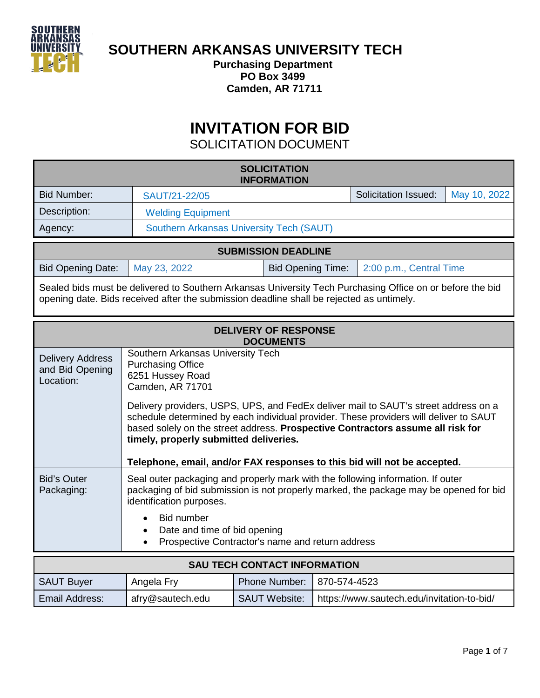

**SOUTHERN ARKANSAS UNIVERSITY TECH** 

**Purchasing Department PO Box 3499 Camden, AR 71711**

## **INVITATION FOR BID**

SOLICITATION DOCUMENT

| <b>SOLICITATION</b><br><b>INFORMATION</b>                                                                                                                                                             |                                                                                                                                                                                                                                                                                                                                                                                                                                                                                                       |                          |                                            |                             |              |  |
|-------------------------------------------------------------------------------------------------------------------------------------------------------------------------------------------------------|-------------------------------------------------------------------------------------------------------------------------------------------------------------------------------------------------------------------------------------------------------------------------------------------------------------------------------------------------------------------------------------------------------------------------------------------------------------------------------------------------------|--------------------------|--------------------------------------------|-----------------------------|--------------|--|
| <b>Bid Number:</b>                                                                                                                                                                                    | SAUT/21-22/05                                                                                                                                                                                                                                                                                                                                                                                                                                                                                         |                          |                                            | <b>Solicitation Issued:</b> | May 10, 2022 |  |
| Description:                                                                                                                                                                                          | <b>Welding Equipment</b>                                                                                                                                                                                                                                                                                                                                                                                                                                                                              |                          |                                            |                             |              |  |
| Agency:                                                                                                                                                                                               | <b>Southern Arkansas University Tech (SAUT)</b>                                                                                                                                                                                                                                                                                                                                                                                                                                                       |                          |                                            |                             |              |  |
| <b>SUBMISSION DEADLINE</b>                                                                                                                                                                            |                                                                                                                                                                                                                                                                                                                                                                                                                                                                                                       |                          |                                            |                             |              |  |
| <b>Bid Opening Date:</b>                                                                                                                                                                              | May 23, 2022                                                                                                                                                                                                                                                                                                                                                                                                                                                                                          | <b>Bid Opening Time:</b> |                                            | 2:00 p.m., Central Time     |              |  |
| Sealed bids must be delivered to Southern Arkansas University Tech Purchasing Office on or before the bid<br>opening date. Bids received after the submission deadline shall be rejected as untimely. |                                                                                                                                                                                                                                                                                                                                                                                                                                                                                                       |                          |                                            |                             |              |  |
| <b>DELIVERY OF RESPONSE</b><br><b>DOCUMENTS</b>                                                                                                                                                       |                                                                                                                                                                                                                                                                                                                                                                                                                                                                                                       |                          |                                            |                             |              |  |
| <b>Delivery Address</b><br>and Bid Opening<br>Location:                                                                                                                                               | Southern Arkansas University Tech<br><b>Purchasing Office</b><br>6251 Hussey Road<br><b>Camden, AR 71701</b><br>Delivery providers, USPS, UPS, and FedEx deliver mail to SAUT's street address on a<br>schedule determined by each individual provider. These providers will deliver to SAUT<br>based solely on the street address. Prospective Contractors assume all risk for<br>timely, properly submitted deliveries.<br>Telephone, email, and/or FAX responses to this bid will not be accepted. |                          |                                            |                             |              |  |
| <b>Bid's Outer</b><br>Packaging:                                                                                                                                                                      | Seal outer packaging and properly mark with the following information. If outer<br>packaging of bid submission is not properly marked, the package may be opened for bid<br>identification purposes.<br><b>Bid number</b><br>Date and time of bid opening<br>$\bullet$<br>Prospective Contractor's name and return address<br>$\bullet$                                                                                                                                                               |                          |                                            |                             |              |  |
| <b>SAU TECH CONTACT INFORMATION</b>                                                                                                                                                                   |                                                                                                                                                                                                                                                                                                                                                                                                                                                                                                       |                          |                                            |                             |              |  |
| <b>SAUT Buyer</b>                                                                                                                                                                                     | Angela Fry                                                                                                                                                                                                                                                                                                                                                                                                                                                                                            | <b>Phone Number:</b>     | 870-574-4523                               |                             |              |  |
| Email Address:                                                                                                                                                                                        | afry@sautech.edu                                                                                                                                                                                                                                                                                                                                                                                                                                                                                      | <b>SAUT Website:</b>     | https://www.sautech.edu/invitation-to-bid/ |                             |              |  |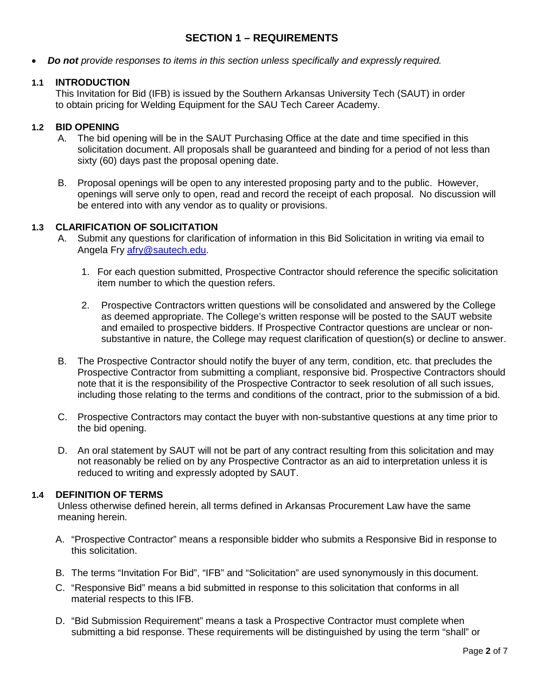#### **SECTION 1 – REQUIREMENTS**

• *Do not provide responses to items in this section unless specifically and expressly required.*

#### **1.1 INTRODUCTION**

This Invitation for Bid (IFB) is issued by the Southern Arkansas University Tech (SAUT) in order to obtain pricing for Welding Equipment for the SAU Tech Career Academy.

#### **1.2 BID OPENING**

- A. The bid opening will be in the SAUT Purchasing Office at the date and time specified in this solicitation document. All proposals shall be guaranteed and binding for a period of not less than sixty (60) days past the proposal opening date.
- B. Proposal openings will be open to any interested proposing party and to the public. However, openings will serve only to open, read and record the receipt of each proposal. No discussion will be entered into with any vendor as to quality or provisions.

#### **1.3 CLARIFICATION OF SOLICITATION**

- A. Submit any questions for clarification of information in this Bid Solicitation in writing via email to Angela Fry [afry@sautech.edu.](mailto:afry@sautech.edu)
	- 1. For each question submitted, Prospective Contractor should reference the specific solicitation item number to which the question refers.
	- 2. Prospective Contractors written questions will be consolidated and answered by the College as deemed appropriate. The College's written response will be posted to the SAUT website and emailed to prospective bidders. If Prospective Contractor questions are unclear or nonsubstantive in nature, the College may request clarification of question(s) or decline to answer.
- B. The Prospective Contractor should notify the buyer of any term, condition, etc. that precludes the Prospective Contractor from submitting a compliant, responsive bid. Prospective Contractors should note that it is the responsibility of the Prospective Contractor to seek resolution of all such issues, including those relating to the terms and conditions of the contract, prior to the submission of a bid.
- C. Prospective Contractors may contact the buyer with non-substantive questions at any time prior to the bid opening.
- D. An oral statement by SAUT will not be part of any contract resulting from this solicitation and may not reasonably be relied on by any Prospective Contractor as an aid to interpretation unless it is reduced to writing and expressly adopted by SAUT.

#### **1.4 DEFINITION OF TERMS**

Unless otherwise defined herein, all terms defined in Arkansas Procurement Law have the same meaning herein.

- A. "Prospective Contractor" means a responsible bidder who submits a Responsive Bid in response to this solicitation.
- B. The terms "Invitation For Bid", "IFB" and "Solicitation" are used synonymously in this document.
- C. "Responsive Bid" means a bid submitted in response to this solicitation that conforms in all material respects to this IFB.
- D. "Bid Submission Requirement" means a task a Prospective Contractor must complete when submitting a bid response. These requirements will be distinguished by using the term "shall" or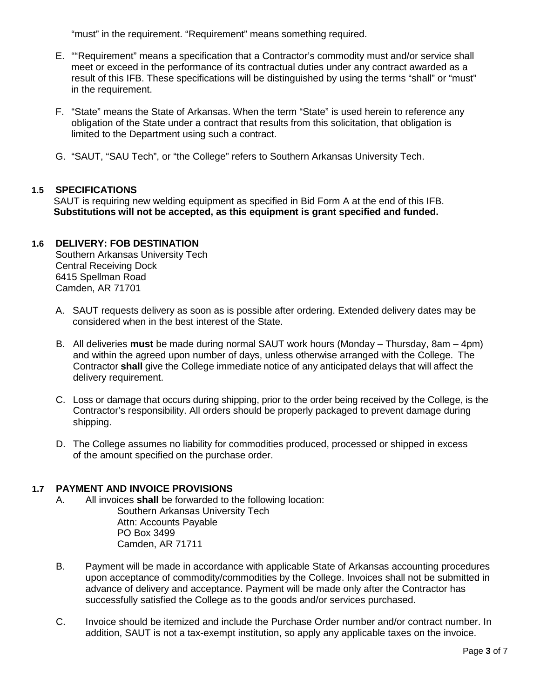"must" in the requirement. "Requirement" means something required.

- E. ""Requirement" means a specification that a Contractor's commodity must and/or service shall meet or exceed in the performance of its contractual duties under any contract awarded as a result of this IFB. These specifications will be distinguished by using the terms "shall" or "must" in the requirement.
- F. "State" means the State of Arkansas. When the term "State" is used herein to reference any obligation of the State under a contract that results from this solicitation, that obligation is limited to the Department using such a contract.
- G. "SAUT, "SAU Tech", or "the College" refers to Southern Arkansas University Tech.

#### **1.5 SPECIFICATIONS**

SAUT is requiring new welding equipment as specified in Bid Form A at the end of this IFB. **Substitutions will not be accepted, as this equipment is grant specified and funded.** 

#### **1.6 DELIVERY: FOB DESTINATION**

Southern Arkansas University Tech Central Receiving Dock 6415 Spellman Road Camden, AR 71701

- A. SAUT requests delivery as soon as is possible after ordering. Extended delivery dates may be considered when in the best interest of the State.
- B. All deliveries **must** be made during normal SAUT work hours (Monday Thursday, 8am 4pm) and within the agreed upon number of days, unless otherwise arranged with the College. The Contractor **shall** give the College immediate notice of any anticipated delays that will affect the delivery requirement.
- C. Loss or damage that occurs during shipping, prior to the order being received by the College, is the Contractor's responsibility. All orders should be properly packaged to prevent damage during shipping.
- D. The College assumes no liability for commodities produced, processed or shipped in excess of the amount specified on the purchase order.

# **1.7 PAYMENT AND INVOICE PROVISIONS**

- All invoices **shall** be forwarded to the following location: Southern Arkansas University Tech Attn: Accounts Payable PO Box 3499 Camden, AR 71711
- B. Payment will be made in accordance with applicable State of Arkansas accounting procedures upon acceptance of commodity/commodities by the College. Invoices shall not be submitted in advance of delivery and acceptance. Payment will be made only after the Contractor has successfully satisfied the College as to the goods and/or services purchased.
- C. Invoice should be itemized and include the Purchase Order number and/or contract number. In addition, SAUT is not a tax-exempt institution, so apply any applicable taxes on the invoice.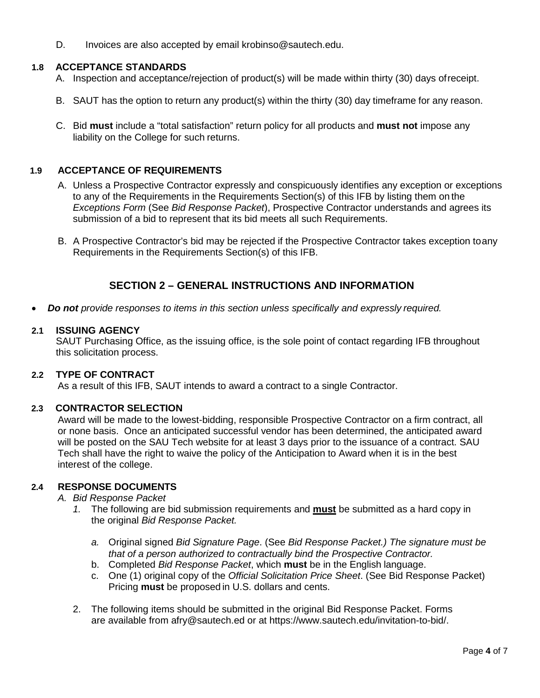D. Invoices are also accepted by email krobinso@sautech.edu.

#### **1.8 ACCEPTANCE STANDARDS**

- A. Inspection and acceptance/rejection of product(s) will be made within thirty (30) days ofreceipt.
- B. SAUT has the option to return any product(s) within the thirty (30) day timeframe for any reason.
- C. Bid **must** include a "total satisfaction" return policy for all products and **must not** impose any liability on the College for such returns.

#### **1.9 ACCEPTANCE OF REQUIREMENTS**

- A. Unless a Prospective Contractor expressly and conspicuously identifies any exception or exceptions to any of the Requirements in the Requirements Section(s) of this IFB by listing them on the *Exceptions Form* (See *Bid Response Packet*), Prospective Contractor understands and agrees its submission of a bid to represent that its bid meets all such Requirements.
- B. A Prospective Contractor's bid may be rejected if the Prospective Contractor takes exception toany Requirements in the Requirements Section(s) of this IFB.

#### **SECTION 2 – GENERAL INSTRUCTIONS AND INFORMATION**

• *Do not provide responses to items in this section unless specifically and expressly required.*

#### **2.1 ISSUING AGENCY**

SAUT Purchasing Office, as the issuing office, is the sole point of contact regarding IFB throughout this solicitation process.

#### **2.2 TYPE OF CONTRACT**

As a result of this IFB, SAUT intends to award a contract to a single Contractor.

#### **2.3 CONTRACTOR SELECTION**

Award will be made to the lowest-bidding, responsible Prospective Contractor on a firm contract, all or none basis. Once an anticipated successful vendor has been determined, the anticipated award will be posted on the SAU Tech website for at least 3 days prior to the issuance of a contract. SAU Tech shall have the right to waive the policy of the Anticipation to Award when it is in the best interest of the college.

#### **2.4 RESPONSE DOCUMENTS**

- *A. Bid Response Packet* 
	- *1.* The following are bid submission requirements and **must** be submitted as a hard copy in the original *Bid Response Packet.*
		- *a.* Original signed *Bid Signature Page*. (See *Bid Response Packet.) The signature must be that of a person authorized to contractually bind the Prospective Contractor.*
		- b. Completed *Bid Response Packet*, which **must** be in the English language.
		- c. One (1) original copy of the *Official Solicitation Price Sheet*. (See Bid Response Packet) Pricing **must** be proposed in U.S. dollars and cents.
	- 2. The following items should be submitted in the original Bid Response Packet. Forms are available from [afry@sautech.ed](mailto:afry@sautech.ed) or at https://www.sautech.edu/invitation-to-bid/.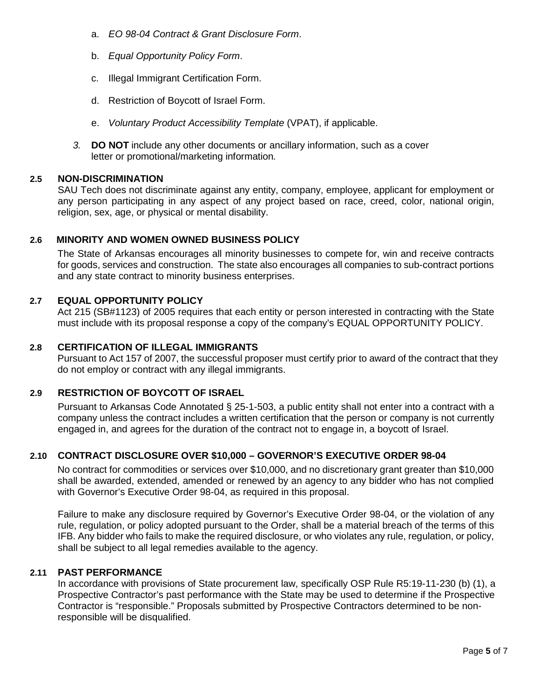- a. *EO 98-04 Contract & Grant Disclosure Form*.
- b. *Equal Opportunity Policy Form*.
- c. Illegal Immigrant Certification Form.
- d. Restriction of Boycott of Israel Form.
- e. *Voluntary Product Accessibility Template* (VPAT), if applicable.
- *3.* **DO NOT** include any other documents or ancillary information, such as a cover letter or promotional/marketing information*.*

#### **2.5 NON-DISCRIMINATION**

SAU Tech does not discriminate against any entity, company, employee, applicant for employment or any person participating in any aspect of any project based on race, creed, color, national origin, religion, sex, age, or physical or mental disability.

#### **2.6 MINORITY AND WOMEN OWNED BUSINESS POLICY**

The State of Arkansas encourages all minority businesses to compete for, win and receive contracts for goods, services and construction. The state also encourages all companies to sub-contract portions and any state contract to minority business enterprises.

#### **2.7 EQUAL OPPORTUNITY POLICY**

Act 215 (SB#1123) of 2005 requires that each entity or person interested in contracting with the State must include with its proposal response a copy of the company's EQUAL OPPORTUNITY POLICY.

#### **2.8 CERTIFICATION OF ILLEGAL IMMIGRANTS**

Pursuant to Act 157 of 2007, the successful proposer must certify prior to award of the contract that they do not employ or contract with any illegal immigrants.

#### **2.9 RESTRICTION OF BOYCOTT OF ISRAEL**

Pursuant to Arkansas Code Annotated § 25-1-503, a public entity shall not enter into a contract with a company unless the contract includes a written certification that the person or company is not currently engaged in, and agrees for the duration of the contract not to engage in, a boycott of Israel.

#### **2.10 CONTRACT DISCLOSURE OVER \$10,000 – GOVERNOR'S EXECUTIVE ORDER 98-04**

No contract for commodities or services over \$10,000, and no discretionary grant greater than \$10,000 shall be awarded, extended, amended or renewed by an agency to any bidder who has not complied with Governor's Executive Order 98-04, as required in this proposal.

Failure to make any disclosure required by Governor's Executive Order 98-04, or the violation of any rule, regulation, or policy adopted pursuant to the Order, shall be a material breach of the terms of this IFB. Any bidder who fails to make the required disclosure, or who violates any rule, regulation, or policy, shall be subject to all legal remedies available to the agency.

#### **2.11 PAST PERFORMANCE**

In accordance with provisions of State procurement law, specifically OSP Rule R5:19-11-230 (b) (1), a Prospective Contractor's past performance with the State may be used to determine if the Prospective Contractor is "responsible." Proposals submitted by Prospective Contractors determined to be nonresponsible will be disqualified.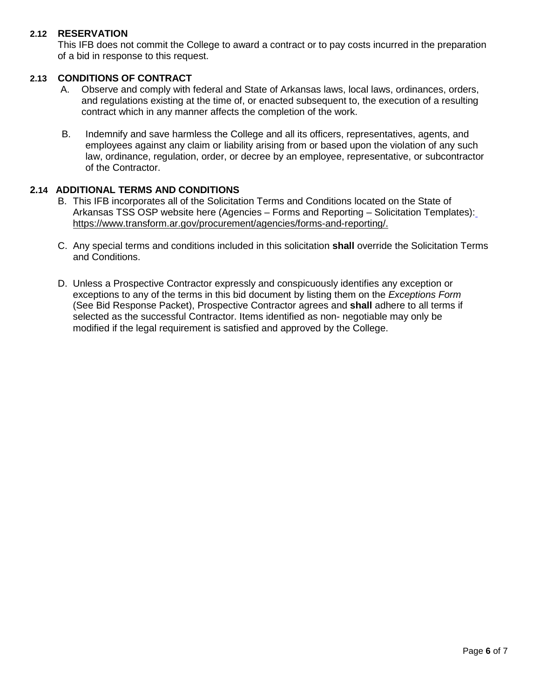#### **2.12 RESERVATION**

This IFB does not commit the College to award a contract or to pay costs incurred in the preparation of a bid in response to this request.

#### **2.13 CONDITIONS OF CONTRACT**

- A. Observe and comply with federal and State of Arkansas laws, local laws, ordinances, orders, and regulations existing at the time of, or enacted subsequent to, the execution of a resulting contract which in any manner affects the completion of the work.
- B. Indemnify and save harmless the College and all its officers, representatives, agents, and employees against any claim or liability arising from or based upon the violation of any such law, ordinance, regulation, order, or decree by an employee, representative, or subcontractor of the Contractor.

#### **2.14 ADDITIONAL TERMS AND CONDITIONS**

- B. This IFB incorporates all of the Solicitation Terms and Conditions located on the State of Arkansas TSS OSP website here (Agencies – Forms and Reporting – Solicitation Templates): [https://www.transform.ar.gov/procurement/agencies/forms-and-reporting/.](https://www.transform.ar.gov/procurement/agencies/forms-and-reporting/)
- C. Any special terms and conditions included in this solicitation **shall** override the Solicitation Terms and Conditions.
- D. Unless a Prospective Contractor expressly and conspicuously identifies any exception or exceptions to any of the terms in this bid document by listing them on the *Exceptions Form*  (See Bid Response Packet), Prospective Contractor agrees and **shall** adhere to all terms if selected as the successful Contractor. Items identified as non- negotiable may only be modified if the legal requirement is satisfied and approved by the College.